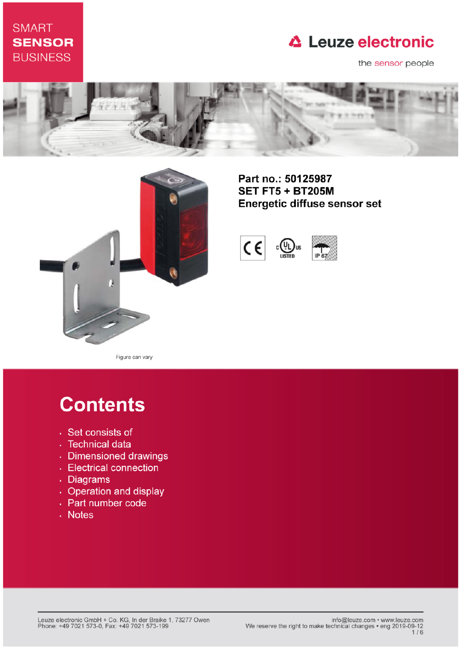# **SMART SENSOR BUSINESS**

# **△ Leuze electronic**

the sensor people





Part no.: 50125987 **SET FT5 + BT205M** Energetic diffuse sensor set



Figure can vary

# **Contents**

- · Set consists of
- · Technical data
- · Dimensioned drawings
- Electrical connection
- . Diagrams
- Operation and display
- Part number code
- . Notes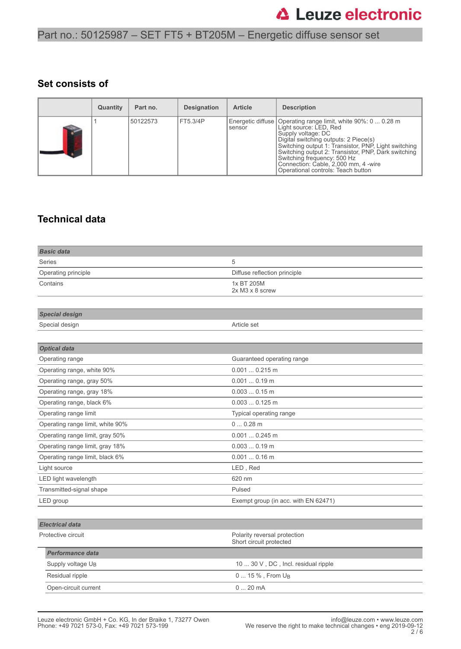#### **Set consists of**

|   | Quantity | Part no. | <b>Designation</b> | <b>Article</b> | <b>Description</b>                                                                                                                                                                                                                                                                                                                                                                   |
|---|----------|----------|--------------------|----------------|--------------------------------------------------------------------------------------------------------------------------------------------------------------------------------------------------------------------------------------------------------------------------------------------------------------------------------------------------------------------------------------|
| B |          | 50122573 | FT5.3/4P           | sensor         | Energetic diffuse   Operating range limit, white 90%: 0  0.28 m<br>Light source: LED, Red<br>Supply voltage: DC<br>Digital switching outputs: 2 Piece(s)<br>Switching output 1: Transistor, PNP, Light switching<br>Switching output 2: Transistor, PNP, Dark switching<br>Switching frequency: 500 Hz<br>Connection: Cable, 2,000 mm, 4 -wire<br>Operational controls: Teach button |

### **Technical data**

| <b>Basic data</b>                |                                                         |  |
|----------------------------------|---------------------------------------------------------|--|
| Series                           | 5                                                       |  |
| Operating principle              | Diffuse reflection principle                            |  |
| Contains                         | 1x BT 205M<br>2x M3 x 8 screw                           |  |
|                                  |                                                         |  |
| <b>Special design</b>            |                                                         |  |
| Special design                   | Article set                                             |  |
|                                  |                                                         |  |
| <b>Optical data</b>              |                                                         |  |
| Operating range                  | Guaranteed operating range                              |  |
| Operating range, white 90%       | $0.0010.215$ m                                          |  |
| Operating range, gray 50%        | $0.0010.19$ m                                           |  |
| Operating range, gray 18%        | $0.0030.15$ m                                           |  |
| Operating range, black 6%        | $0.0030.125$ m                                          |  |
| Operating range limit            | Typical operating range                                 |  |
| Operating range limit, white 90% | 00.28m                                                  |  |
| Operating range limit, gray 50%  | $0.001$ $0.245$ m                                       |  |
| Operating range limit, gray 18%  | $0.0030.19$ m                                           |  |
| Operating range limit, black 6%  | $0.0010.16$ m                                           |  |
| Light source                     | LED, Red                                                |  |
| LED light wavelength             | 620 nm                                                  |  |
| Transmitted-signal shape         | Pulsed                                                  |  |
| LED group                        | Exempt group (in acc. with EN 62471)                    |  |
|                                  |                                                         |  |
| <b>Electrical data</b>           |                                                         |  |
| Protective circuit               | Polarity reversal protection<br>Short circuit protected |  |
| <b>Performance data</b>          |                                                         |  |
| Supply voltage U <sub>B</sub>    | 10  30 V, DC, Incl. residual ripple                     |  |
| Residual ripple                  | 0  15 %, From U <sub>B</sub>                            |  |
| Open-circuit current             | 020mA                                                   |  |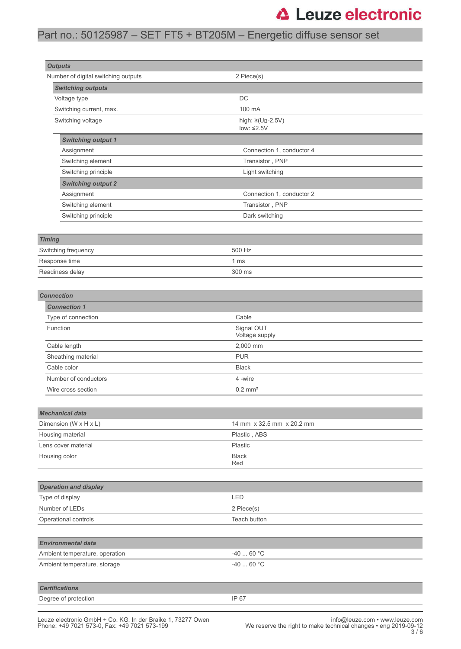# Part no.: 50125987 – SET FT5 + BT205M – Energetic diffuse sensor set

| <b>Outputs</b>                           |                                     |  |
|------------------------------------------|-------------------------------------|--|
| Number of digital switching outputs      | 2 Piece(s)                          |  |
| <b>Switching outputs</b><br>Voltage type | DC                                  |  |
| Switching current, max.                  | 100 mA                              |  |
| Switching voltage                        | high: $\geq$ (U <sub>B</sub> -2.5V) |  |
|                                          | low: $\leq 2.5V$                    |  |
| <b>Switching output 1</b>                |                                     |  |
| Assignment                               | Connection 1, conductor 4           |  |
| Switching element                        | Transistor, PNP                     |  |
| Switching principle                      | Light switching                     |  |
| <b>Switching output 2</b>                |                                     |  |
| Assignment                               | Connection 1, conductor 2           |  |
| Switching element                        | Transistor, PNP                     |  |
| Switching principle                      | Dark switching                      |  |
|                                          |                                     |  |
| <b>Timing</b>                            |                                     |  |
| Switching frequency                      | 500 Hz                              |  |
| Response time                            | 1 <sub>ms</sub>                     |  |
| Readiness delay                          | 300 ms                              |  |
|                                          |                                     |  |
| <b>Connection</b>                        |                                     |  |
| <b>Connection 1</b>                      |                                     |  |
| Type of connection                       | Cable                               |  |
| Function                                 | Signal OUT<br>Voltage supply        |  |
| Cable length                             | 2,000 mm                            |  |
| Sheathing material                       | <b>PUR</b>                          |  |
| Cable color                              | <b>Black</b>                        |  |
| Number of conductors                     | 4 -wire                             |  |
| Wire cross section                       | $0.2$ mm <sup>2</sup>               |  |
|                                          |                                     |  |
| <b>Mechanical data</b>                   |                                     |  |
| Dimension (W x H x L)                    | 14 mm x 32.5 mm x 20.2 mm           |  |
| Housing material                         | Plastic, ABS                        |  |
| Lens cover material                      | Plastic                             |  |
| Housing color                            | <b>Black</b><br>Red                 |  |
|                                          |                                     |  |
| <b>Operation and display</b>             |                                     |  |
| Type of display                          | LED                                 |  |
| Number of LEDs                           | 2 Piece(s)                          |  |
| Operational controls                     | Teach button                        |  |
|                                          |                                     |  |
| <b>Environmental data</b>                |                                     |  |
| Ambient temperature, operation           | $-4060 °C$                          |  |
| Ambient temperature, storage             | -40 $\dots$ 60 °C                   |  |
|                                          |                                     |  |
| <b>Certifications</b>                    |                                     |  |
| Degree of protection                     | IP 67                               |  |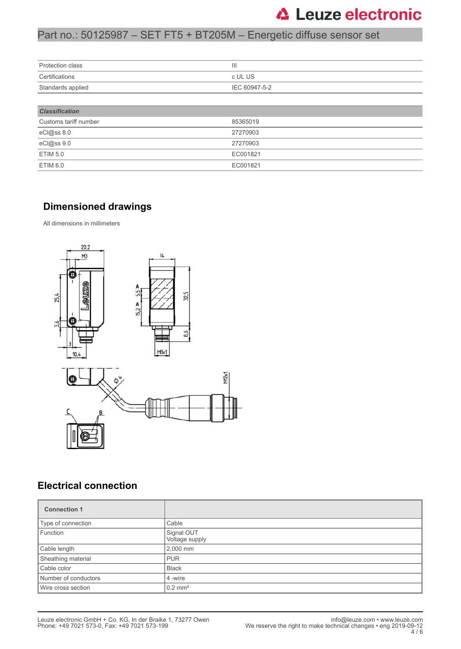## Part no.: 50125987 – SET FT5 + BT205M – Energetic diffuse sensor set

| Protection class      | Ш             |  |
|-----------------------|---------------|--|
| Certifications        | c UL US       |  |
| Standards applied     | IEC 60947-5-2 |  |
|                       |               |  |
| <b>Classification</b> |               |  |
| Customs tariff number | 85365019      |  |
| eCl@ss 8.0            | 27270903      |  |
| eCl@ss 9.0            | 27270903      |  |
| <b>ETIM 5.0</b>       | EC001821      |  |
| <b>ETIM 6.0</b>       | EC001821      |  |

### **Dimensioned drawings**

All dimensions in millimeters



## **Electrical connection**

| <b>Connection 1</b>  |                              |
|----------------------|------------------------------|
| Type of connection   | Cable                        |
| Function             | Signal OUT<br>Voltage supply |
| Cable length         | 2,000 mm                     |
| Sheathing material   | <b>PUR</b>                   |
| Cable color          | <b>Black</b>                 |
| Number of conductors | 4 -wire                      |
| Wire cross section   | $0.2$ mm <sup>2</sup>        |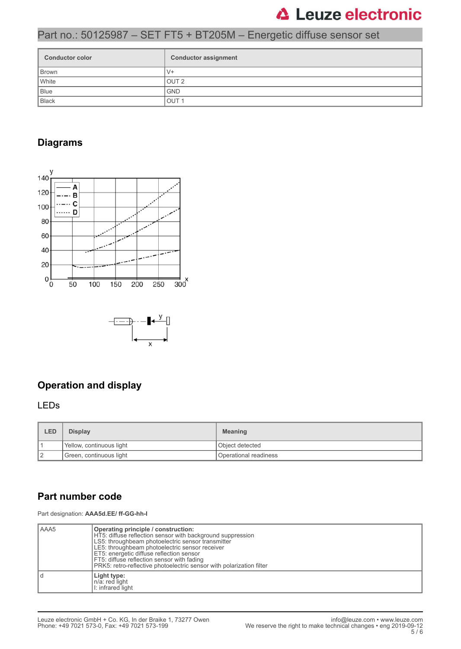# Part no.: 50125987 – SET FT5 + BT205M – Energetic diffuse sensor set

| <b>Conductor color</b> | <b>Conductor assignment</b> |
|------------------------|-----------------------------|
| Brown                  | $V +$                       |
| White                  | OUT <sub>2</sub>            |
| Blue                   | <b>GND</b>                  |
| Black                  | OUT <sub>1</sub>            |

### **Diagrams**



## **Operation and display**

#### LEDs

| LED | <b>Display</b>           | <b>Meaning</b>        |
|-----|--------------------------|-----------------------|
|     | Yellow, continuous light | Object detected       |
| 12  | Green, continuous light  | Operational readiness |

### **Part number code**

Part designation: **AAA5d.EE/ ff-GG-hh-I**

| AAA5 | Operating principle / construction:<br>HT5: diffuse reflection sensor with background suppression<br>LS5: throughbeam photoelectric sensor transmitter<br>LE5: throughbeam photoelectric sensor receiver<br>ET5: energetic diffuse reflection sensor<br>FT5: diffuse reflection sensor with fading<br>PRK5: retro-reflective photoelectric sensor with polarization filter |
|------|----------------------------------------------------------------------------------------------------------------------------------------------------------------------------------------------------------------------------------------------------------------------------------------------------------------------------------------------------------------------------|
|      | Light type:<br>n/a: red light<br>I: infrared light                                                                                                                                                                                                                                                                                                                         |